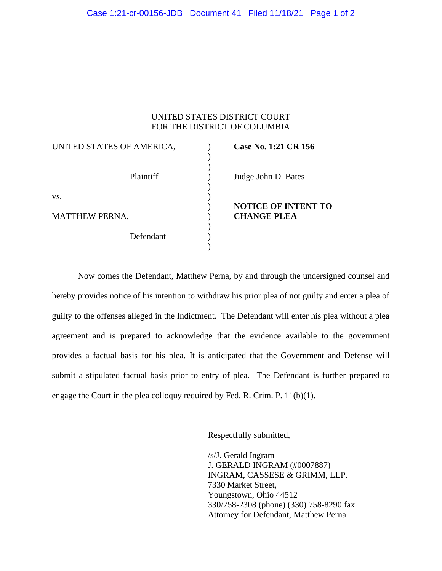| UNITED STATES DISTRICT COURT<br>FOR THE DISTRICT OF COLUMBIA |  |                            |
|--------------------------------------------------------------|--|----------------------------|
| UNITED STATES OF AMERICA,                                    |  | Case No. 1:21 CR 156       |
| Plaintiff                                                    |  | Judge John D. Bates        |
| VS.                                                          |  | <b>NOTICE OF INTENT TO</b> |
| <b>MATTHEW PERNA,</b>                                        |  | <b>CHANGE PLEA</b>         |
| Defendant                                                    |  |                            |

Now comes the Defendant, Matthew Perna, by and through the undersigned counsel and hereby provides notice of his intention to withdraw his prior plea of not guilty and enter a plea of guilty to the offenses alleged in the Indictment. The Defendant will enter his plea without a plea agreement and is prepared to acknowledge that the evidence available to the government provides a factual basis for his plea. It is anticipated that the Government and Defense will submit a stipulated factual basis prior to entry of plea. The Defendant is further prepared to engage the Court in the plea colloquy required by Fed. R. Crim. P. 11(b)(1).

Respectfully submitted,

/s/J. Gerald Ingram J. GERALD INGRAM (#0007887) INGRAM, CASSESE & GRIMM, LLP. 7330 Market Street, Youngstown, Ohio 44512 330/758-2308 (phone) (330) 758-8290 fax Attorney for Defendant, Matthew Perna